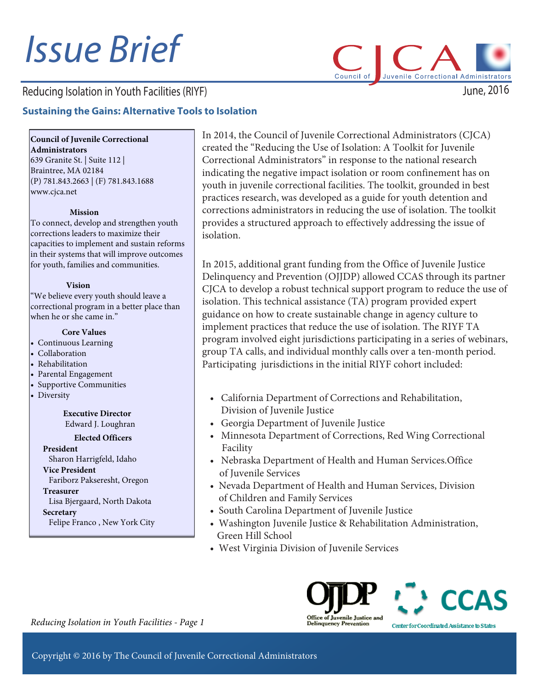# Issue Brief

# Reducing Isolation in Youth Facilities (RIYF)

## **Sustaining the Gains: Alternative Tools to Isolation**

**Council of Juvenile Correctional Administrators**

639 Granite St. | Suite 112 | Braintree, MA 02184 (P) 781.843.2663 | (F) 781.843.1688 www.cjca.net

#### **Mission**

To connect, develop and strengthen youth corrections leaders to maximize their capacities to implement and sustain reforms in their systems that will improve outcomes for youth, families and communities.

#### **Vision**

"We believe every youth should leave a correctional program in a better place than when he or she came in."

#### **Core Values**

- Continuous Learning
- Collaboration
- Rehabilitation
- Parental Engagement
- Supportive Communities
- Diversity

**Executive Director**  Edward J. Loughran

#### **Elected Officers**

**President** Sharon Harrigfeld, Idaho **Vice President** Fariborz Pakseresht, Oregon **Treasurer** Lisa Bjergaard, North Dakota **Secretary** Felipe Franco , New York City

In 2014, the Council of Juvenile Correctional Administrators (CJCA) created the "Reducing the Use of Isolation: A Toolkit for Juvenile Correctional Administrators" in response to the national research indicating the negative impact isolation or room confinement has on youth in juvenile correctional facilities. The toolkit, grounded in best practices research, was developed as a guide for youth detention and corrections administrators in reducing the use of isolation. The toolkit provides a structured approach to effectively addressing the issue of isolation.

Council of

In 2015, additional grant funding from the Office of Juvenile Justice Delinquency and Prevention (OJJDP) allowed CCAS through its partner CJCA to develop a robust technical support program to reduce the use of isolation. This technical assistance (TA) program provided expert guidance on how to create sustainable change in agency culture to implement practices that reduce the use of isolation. The RIYF TA program involved eight jurisdictions participating in a series of webinars, group TA calls, and individual monthly calls over a ten-month period. Participating jurisdictions in the initial RIYF cohort included:

- California Department of Corrections and Rehabilitation, Division of Juvenile Justice
- Georgia Department of Juvenile Justice
- Minnesota Department of Corrections, Red Wing Correctional Facility
- Nebraska Department of Health and Human Services.Office of Juvenile Services
- Nevada Department of Health and Human Services, Division of Children and Family Services
- South Carolina Department of Juvenile Justice
- Washington Juvenile Justice & Rehabilitation Administration, Green Hill School
- West Virginia Division of Juvenile Services





June, 2016

Juvenile Correctional Administrators

*Reducing Isolation in Youth Facilities - Page 1*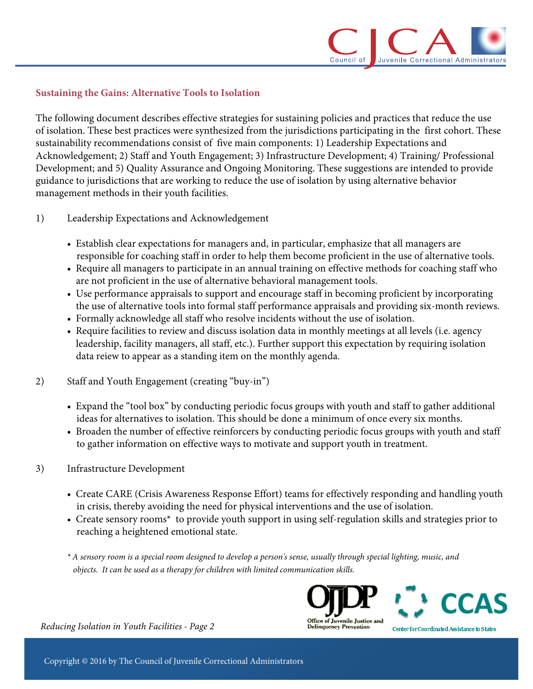

### **Sustaining the Gains: Alternative Tools to Isolation**

The following document describes effective strategies for sustaining policies and practices that reduce the use of isolation. These best practices were synthesized from the jurisdictions participating in the first cohort. These sustainability recommendations consist of five main components: 1) Leadership Expectations and Acknowledgement; 2) Staff and Youth Engagement; 3) Infrastructure Development; 4) Training/ Professional Development; and 5) Quality Assurance and Ongoing Monitoring. These suggestions are intended to provide guidance to jurisdictions that are working to reduce the use of isolation by using alternative behavior management methods in their youth facilities.

- 1) Leadership Expectations and Acknowledgement
	- Establish clear expectations for managers and, in particular, emphasize that all managers are responsible for coaching staff in order to help them become proficient in the use of alternative tools.
	- Require all managers to participate in an annual training on effective methods for coaching staff who are not proficient in the use of alternative behavioral management tools.
	- Use performance appraisals to support and encourage staff in becoming proficient by incorporating the use of alternative tools into formal staff performance appraisals and providing six-month reviews.
	- Formally acknowledge all staff who resolve incidents without the use of isolation.
	- Require facilities to review and discuss isolation data in monthly meetings at all levels (i.e. agency leadership, facility managers, all staff, etc.). Further support this expectation by requiring isolation data reiew to appear as a standing item on the monthly agenda.
- 2) Staff and Youth Engagement (creating "buy-in")
	- Expand the "tool box" by conducting periodic focus groups with youth and staff to gather additional ideas for alternatives to isolation. This should be done a minimum of once every six months.
	- Broaden the number of effective reinforcers by conducting periodic focus groups with youth and staff to gather information on effective ways to motivate and support youth in treatment.
- 3) Infrastructure Development
	- Create CARE (Crisis Awareness Response Effort) teams for effectively responding and handling youth in crisis, thereby avoiding the need for physical interventions and the use of isolation.
	- Create sensory rooms<sup>\*</sup> to provide youth support in using self-regulation skills and strategies prior to reaching a heightened emotional state.
	- *\* A sensory room is a special room designed to develop a person's sense, usually through special lighting, music, and objects. It can be used as a therapy for children with limited communication skills.*





Center for Coordinated Assistance to States

*Reducing Isolation in Youth Facilities - Page 2*